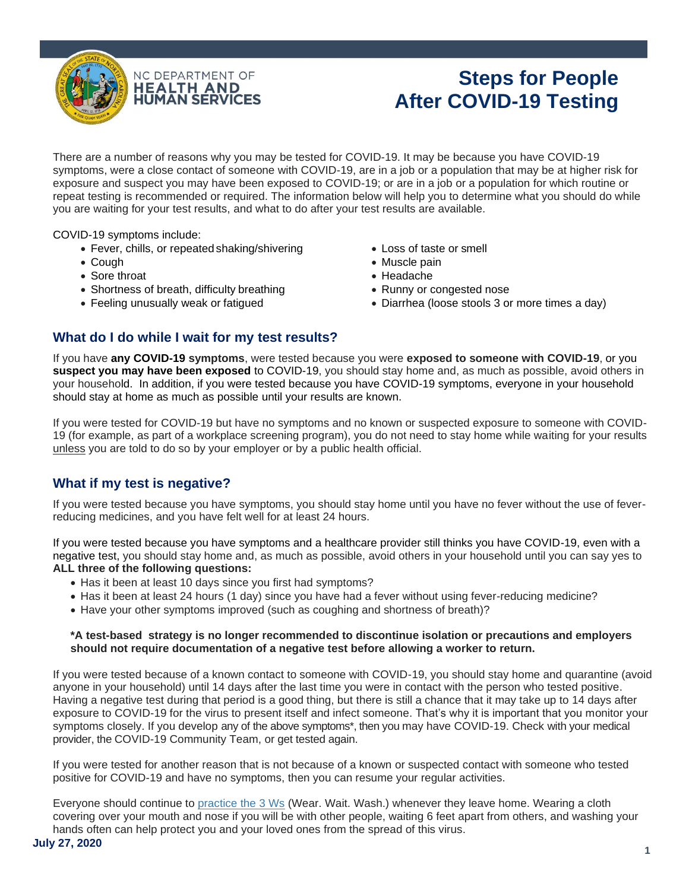

# **Steps for People After COVID-19 Testing**

There are a number of reasons why you may be tested for COVID-19. It may be because you have COVID-19 symptoms, were a close contact of someone with COVID-19, are in a job or a population that may be at higher risk for exposure and suspect you may have been exposed to COVID-19; or are in a job or a population for which routine or repeat testing is recommended or required. The information below will help you to determine what you should do while you are waiting for your test results, and what to do after your test results are available.

COVID-19 symptoms include:

- Fever, chills, or repeated shaking/shivering
- Cough
- Sore throat
- Shortness of breath, difficulty breathing
- Feeling unusually weak or fatigued
- Loss of taste or smell
- Muscle pain
- Headache
- Runny or congested nose
- Diarrhea (loose stools 3 or more times a day)

## **What do I do while I wait for my test results?**

If you have **any COVID-19 symptoms**, were tested because you were **exposed to someone with COVID-19**, or you **suspect you may have been exposed** to COVID-19, you should stay home and, as much as possible, avoid others in your household. In addition, if you were tested because you have COVID-19 symptoms, everyone in your household should stay at home as much as possible until your results are known.

If you were tested for COVID-19 but have no symptoms and no known or suspected exposure to someone with COVID-19 (for example, as part of a workplace screening program), you do not need to stay home while waiting for your results unless you are told to do so by your employer or by a public health official.

# **What if my test is negative?**

If you were tested because you have symptoms, you should stay home until you have no fever without the use of feverreducing medicines, and you have felt well for at least 24 hours.

If you were tested because you have symptoms and a healthcare provider still thinks you have COVID-19, even with a negative test, you should stay home and, as much as possible, avoid others in your household until you can say yes to **ALL three of the following questions:**

- Has it been at least 10 days since you first had symptoms?
- Has it been at least 24 hours (1 day) since you have had a fever without using fever-reducing medicine?
- Have your other symptoms improved (such as coughing and shortness of breath)?

### **\*A test-based strategy is no longer recommended to discontinue isolation or precautions and employers should not require documentation of a negative test before allowing a worker to return.**

If you were tested because of a known contact to someone with COVID-19, you should stay home and quarantine (avoid anyone in your household) until 14 days after the last time you were in contact with the person who tested positive. Having a negative test during that period is a good thing, but there is still a chance that it may take up to 14 days after exposure to COVID-19 for the virus to present itself and infect someone. That's why it is important that you monitor your symptoms closely. If you develop any of the above symptoms\*, then you may have COVID-19. Check with your medical provider, the COVID-19 Community Team, or get tested again.

If you were tested for another reason that is not because of a known or suspected contact with someone who tested positive for COVID-19 and have no symptoms, then you can resume your regular activities.

Everyone should continue to [practice the 3 Ws](https://covid19.ncdhhs.gov/materials-resources/know-your-ws-wear-wait-wash) (Wear. Wait. Wash.) whenever they leave home. Wearing a cloth covering over your mouth and nose if you will be with other people, waiting 6 feet apart from others, and washing your hands often can help protect you and your loved ones from the spread of this virus.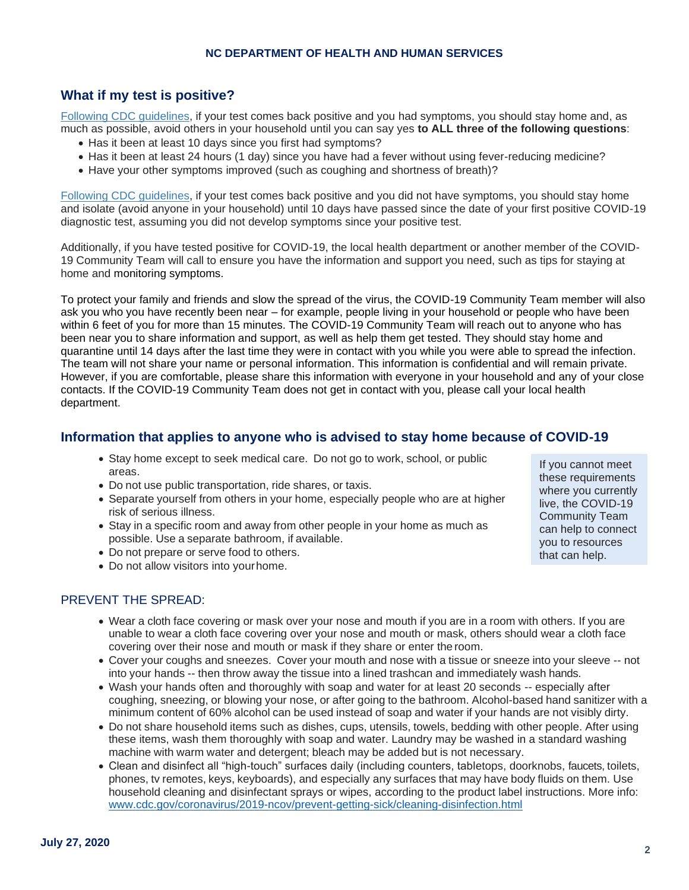### **NC DEPARTMENT OF HEALTH AND HUMAN SERVICES**

## **What if my test is positive?**

[Following CDC guidelines,](https://www.cdc.gov/coronavirus/2019-ncov/hcp/disposition-hospitalized-patients.html) if your test comes back positive and you had symptoms, you should stay home and, as much as possible, avoid others in your household until you can say yes **to ALL three of the following questions**:

- Has it been at least 10 days since you first had symptoms?
- Has it been at least 24 hours (1 day) since you have had a fever without using fever-reducing medicine?
- Have your other symptoms improved (such as coughing and shortness of breath)?

Following [CDC guidelines,](https://www.cdc.gov/coronavirus/2019-ncov/hcp/disposition-hospitalized-patients.html) if your test comes back positive and you did not have symptoms, you should stay home and isolate (avoid anyone in your household) until 10 days have passed since the date of your first positive COVID-19 diagnostic test, assuming you did not develop symptoms since your positive test.

Additionally, if you have tested positive for COVID-19, the local health department or another member of the COVID-19 Community Team will call to ensure you have the information and support you need, such as tips for staying at home and monitoring symptoms.

To protect your family and friends and slow the spread of the virus, the COVID-19 Community Team member will also ask you who you have recently been near – for example, people living in your household or people who have been within 6 feet of you for more than 15 minutes. The COVID-19 Community Team will reach out to anyone who has been near you to share information and support, as well as help them get tested. They should stay home and quarantine until 14 days after the last time they were in contact with you while you were able to spread the infection. The team will not share your name or personal information. This information is confidential and will remain private. However, if you are comfortable, please share this information with everyone in your household and any of your close contacts. If the COVID-19 Community Team does not get in contact with you, please call your local health department.

## **Information that applies to anyone who is advised to stay home because of COVID-19**

- Stay home except to seek medical care. Do not go to work, school, or public areas.
- Do not use public transportation, ride shares, or taxis.
- Separate yourself from others in your home, especially people who are at higher risk of serious illness.
- Stay in a specific room and away from other people in your home as much as possible. Use a separate bathroom, if available.
- Do not prepare or serve food to others.
- Do not allow visitors into yourhome.

## PREVENT THE SPREAD:

- Wear a cloth face covering or mask over your nose and mouth if you are in a room with others. If you are unable to wear a cloth face covering over your nose and mouth or mask, others should wear a cloth face covering over their nose and mouth or mask if they share or enter the room.
- Cover your coughs and sneezes. Cover your mouth and nose with a tissue or sneeze into your sleeve -- not into your hands -- then throw away the tissue into a lined trashcan and immediately wash hands.
- Wash your hands often and thoroughly with soap and water for at least 20 seconds -- especially after coughing, sneezing, or blowing your nose, or after going to the bathroom. Alcohol-based hand sanitizer with a minimum content of 60% alcohol can be used instead of soap and water if your hands are not visibly dirty.
- Do not share household items such as dishes, cups, utensils, towels, bedding with other people. After using these items, wash them thoroughly with soap and water. Laundry may be washed in a standard washing machine with warm water and detergent; bleach may be added but is not necessary.
- Clean and disinfect all "high-touch" surfaces daily (including counters, tabletops, doorknobs, faucets, toilets, phones, tv remotes, keys, keyboards), and especially any surfaces that may have body fluids on them. Use household cleaning and disinfectant sprays or wipes, according to the product label instructions. More info: [www.cdc.gov/corona](http://www.cdc.gov/coronavirus/2019-ncov/prevent-getting-sick/cleaning-disinfection.html)viru[s/2019-ncov/prevent-getting-sick/cleaning-disinfection.html](http://www.cdc.gov/coronavirus/2019-ncov/prevent-getting-sick/cleaning-disinfection.html)

If you cannot meet these requirements where you currently live, the COVID-19 Community Team can help to connect you to resources that can help.